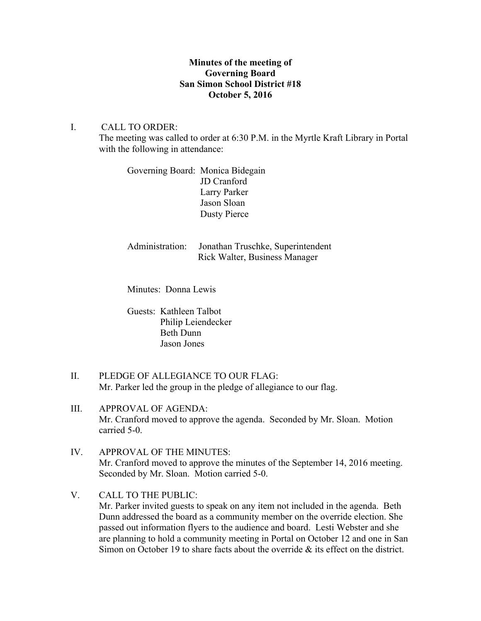## **Minutes of the meeting of Governing Board San Simon School District #18 October 5, 2016**

I. CALL TO ORDER: The meeting was called to order at 6:30 P.M. in the Myrtle Kraft Library in Portal with the following in attendance:

> Governing Board: Monica Bidegain JD Cranford Larry Parker Jason Sloan Dusty Pierce

Administration: Jonathan Truschke, Superintendent Rick Walter, Business Manager

Minutes: Donna Lewis

Guests: Kathleen Talbot Philip Leiendecker Beth Dunn Jason Jones

- II. PLEDGE OF ALLEGIANCE TO OUR FLAG: Mr. Parker led the group in the pledge of allegiance to our flag.
- III. APPROVAL OF AGENDA: Mr. Cranford moved to approve the agenda. Seconded by Mr. Sloan. Motion carried 5-0.
- IV. APPROVAL OF THE MINUTES: Mr. Cranford moved to approve the minutes of the September 14, 2016 meeting. Seconded by Mr. Sloan. Motion carried 5-0.
- V. CALL TO THE PUBLIC:

Mr. Parker invited guests to speak on any item not included in the agenda. Beth Dunn addressed the board as a community member on the override election. She passed out information flyers to the audience and board. Lesti Webster and she are planning to hold a community meeting in Portal on October 12 and one in San Simon on October 19 to share facts about the override & its effect on the district.